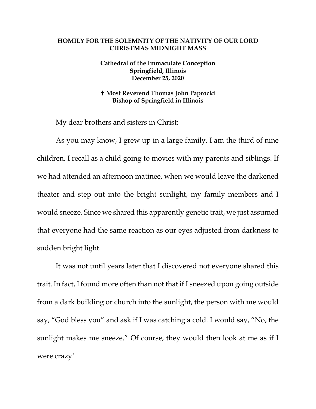## **HOMILY FOR THE SOLEMNITY OF THE NATIVITY OF OUR LORD CHRISTMAS MIDNIGHT MASS**

## **Cathedral of the Immaculate Conception Springfield, Illinois December 25, 2020**

## **Most Reverend Thomas John Paprocki Bishop of Springfield in Illinois**

My dear brothers and sisters in Christ:

As you may know, I grew up in a large family. I am the third of nine children. I recall as a child going to movies with my parents and siblings. If we had attended an afternoon matinee, when we would leave the darkened theater and step out into the bright sunlight, my family members and I would sneeze. Since we shared this apparently genetic trait, we just assumed that everyone had the same reaction as our eyes adjusted from darkness to sudden bright light.

It was not until years later that I discovered not everyone shared this trait. In fact, I found more often than not that if I sneezed upon going outside from a dark building or church into the sunlight, the person with me would say, "God bless you" and ask if I was catching a cold. I would say, "No, the sunlight makes me sneeze." Of course, they would then look at me as if I were crazy!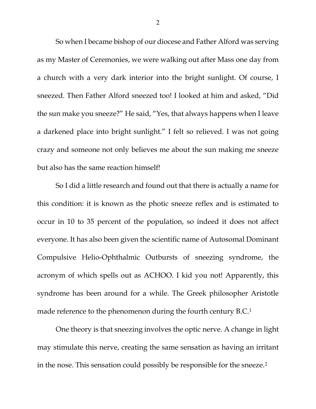So when I became bishop of our diocese and Father Alford was serving as my Master of Ceremonies, we were walking out after Mass one day from a church with a very dark interior into the bright sunlight. Of course, I sneezed. Then Father Alford sneezed too! I looked at him and asked, "Did the sun make you sneeze?" He said, "Yes, that always happens when I leave a darkened place into bright sunlight." I felt so relieved. I was not going crazy and someone not only believes me about the sun making me sneeze but also has the same reaction himself!

So I did a little research and found out that there is actually a name for this condition: it is known as the photic sneeze reflex and is estimated to occur in 10 to 35 percent of the population, so indeed it does not affect everyone. It has also been given the scientific name of Autosomal Dominant Compulsive Helio-Ophthalmic Outbursts of sneezing syndrome, the acronym of which spells out as ACHOO. I kid you not! Apparently, this syndrome has been around for a while. The Greek philosopher Aristotle made reference to the phenomenon during the fourth century B.C.<sup>[1](#page-4-0)</sup>

One theory is that sneezing involves the optic nerve. A change in light may stimulate this nerve, creating the same sensation as having an irritant in the nose. This sensation could possibly be responsible for the sneeze.[2](#page-4-1)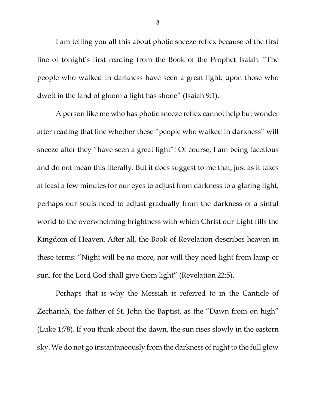I am telling you all this about photic sneeze reflex because of the first line of tonight's first reading from the Book of the Prophet Isaiah: "The people who walked in darkness have seen a great light; upon those who dwelt in the land of gloom a light has shone" (Isaiah 9:1).

A person like me who has photic sneeze reflex cannot help but wonder after reading that line whether these "people who walked in darkness" will sneeze after they "have seen a great light"! Of course, I am being facetious and do not mean this literally. But it does suggest to me that, just as it takes at least a few minutes for our eyes to adjust from darkness to a glaring light, perhaps our souls need to adjust gradually from the darkness of a sinful world to the overwhelming brightness with which Christ our Light fills the Kingdom of Heaven. After all, the Book of Revelation describes heaven in these terms: "Night will be no more, nor will they need light from lamp or sun, for the Lord God shall give them light" (Revelation 22:5).

Perhaps that is why the Messiah is referred to in the Canticle of Zechariah, the father of St. John the Baptist, as the "Dawn from on high" (Luke 1:78). If you think about the dawn, the sun rises slowly in the eastern sky. We do not go instantaneously from the darkness of night to the full glow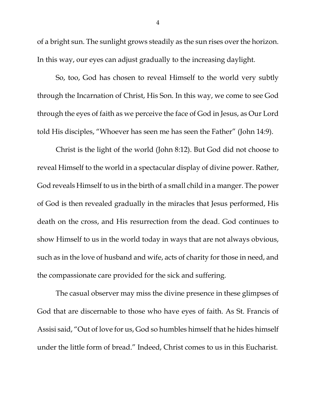of a bright sun. The sunlight grows steadily as the sun rises over the horizon. In this way, our eyes can adjust gradually to the increasing daylight.

So, too, God has chosen to reveal Himself to the world very subtly through the Incarnation of Christ, His Son. In this way, we come to see God through the eyes of faith as we perceive the face of God in Jesus, as Our Lord told His disciples, "Whoever has seen me has seen the Father" (John 14:9).

Christ is the light of the world (John 8:12). But God did not choose to reveal Himself to the world in a spectacular display of divine power. Rather, God reveals Himself to us in the birth of a small child in a manger. The power of God is then revealed gradually in the miracles that Jesus performed, His death on the cross, and His resurrection from the dead. God continues to show Himself to us in the world today in ways that are not always obvious, such as in the love of husband and wife, acts of charity for those in need, and the compassionate care provided for the sick and suffering.

The casual observer may miss the divine presence in these glimpses of God that are discernable to those who have eyes of faith. As St. Francis of Assisi said, "Out of love for us, God so humbles himself that he hides himself under the little form of bread." Indeed, Christ comes to us in this Eucharist.

4